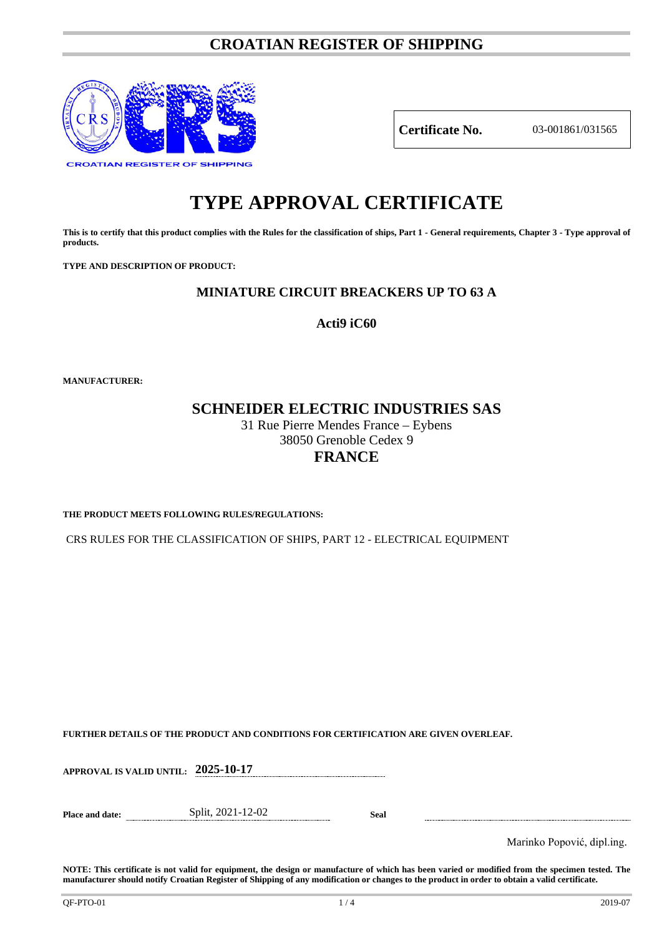# **CROATIAN REGISTER OF SHIPPING**



**Certificate No.** 03-001861/031565

# **TYPE APPROVAL CERTIFICATE**

**This is to certify that this product complies with the Rules for the classification of ships, Part 1 - General requirements, Chapter 3 - Type approval of products.**

**TYPE AND DESCRIPTION OF PRODUCT:** 

# **MINIATURE CIRCUIT BREACKERS UP TO 63 A**

**Acti9 iC60**

**MANUFACTURER:**

# **SCHNEIDER ELECTRIC INDUSTRIES SAS**

31 Rue Pierre Mendes France – Eybens 38050 Grenoble Cedex 9 **FRANCE**

**THE PRODUCT MEETS FOLLOWING RULES/REGULATIONS:**

CRS RULES FOR THE CLASSIFICATION OF SHIPS, PART 12 - ELECTRICAL EQUIPMENT

**FURTHER DETAILS OF THE PRODUCT AND CONDITIONS FOR CERTIFICATION ARE GIVEN OVERLEAF.**

**APPROVAL IS VALID UNTIL: 2025-10-17**

**Place and date:** Split, 2021-12-02 **Seal**

Marinko Popović, dipl.ing.

**NOTE: This certificate is not valid for equipment, the design or manufacture of which has been varied or modified from the specimen tested. The manufacturer should notify Croatian Register of Shipping of any modification or changes to the product in order to obtain a valid certificate.**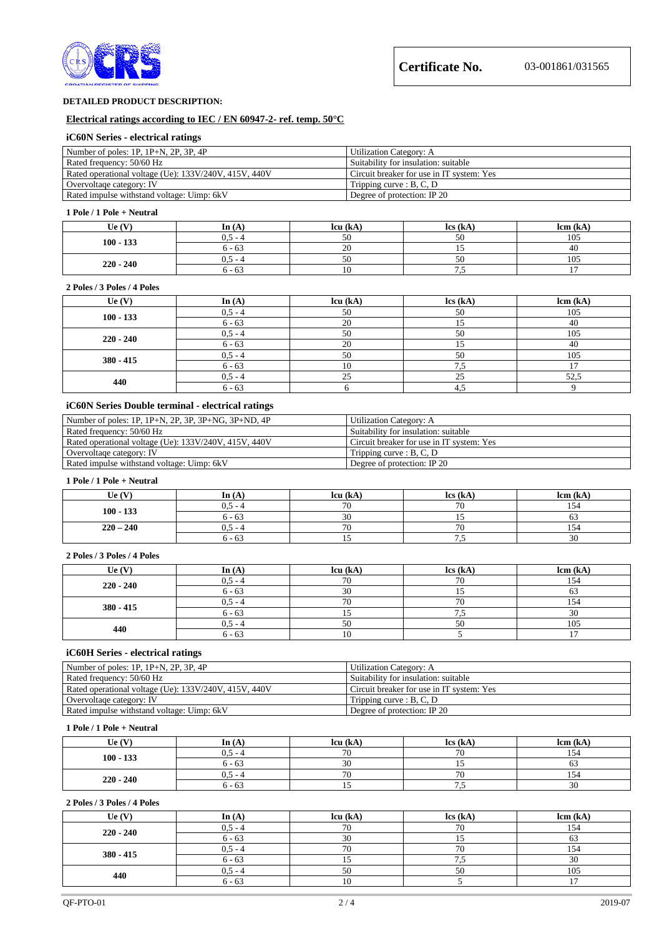

#### **DETAILED PRODUCT DESCRIPTION:**

#### **Electrical ratings according to IEC / EN 60947-2- ref. temp. 50°C**

#### **iC60N Series - electrical ratings**

| Number of poles: $1P$ , $1P+N$ , $2P$ , $3P$ , $4P$   | Utilization Category: A                   |
|-------------------------------------------------------|-------------------------------------------|
| Rated frequency: 50/60 Hz                             | Suitability for insulation: suitable      |
| Rated operational voltage (Ue): 133V/240V, 415V, 440V | Circuit breaker for use in IT system: Yes |
| Overvoltage category: IV                              | Tripping curve : $B, C, D$                |
| Rated impulse withstand voltage: Uimp: 6kV            | Degree of protection: IP 20               |

#### **1 Pole / 1 Pole + Neutral**

| Ue $(V)$    | In $(A)$     | lcu (kA       | $\text{lcs}$ (kA         | lcm (kA |
|-------------|--------------|---------------|--------------------------|---------|
|             | 0.5<br>. – 4 | $\sim$ $\sim$ | 50                       | 105     |
| $100 - 133$ | 6 - 63       | 20            |                          | 40      |
|             | $0.5 - 4$    | $\sim$        | 50                       | 105     |
| $220 - 240$ | 6 - 63       |               | $\overline{\phantom{a}}$ |         |

#### **2 Poles / 3 Poles / 4 Poles**

| $\mathbf{U}\mathbf{e}\left(\mathbf{V}\right)$ | In $(A)$  | lcu (kA) | lcs (kA) | lcm (kA) |
|-----------------------------------------------|-----------|----------|----------|----------|
| $100 - 133$                                   | $0,5 - 4$ | 50       | 50       | 105      |
|                                               | $6 - 63$  | 20       |          | -40      |
|                                               | $0.5 - 4$ | 50       | 50       | 105      |
| $220 - 240$                                   | $6 - 63$  | 20       |          | 40       |
|                                               | $0.5 - 4$ | 50       | 50       | 105      |
| $380 - 415$                                   | $6 - 63$  |          | .        |          |
| 440                                           | $0.5 - 4$ | 25       | 25       | 52,5     |
|                                               | $6 - 63$  |          | 4.3      |          |

# **iC60N Series Double terminal - electrical ratings**

| Number of poles: $1P$ , $1P+N$ , $2P$ , $3P$ , $3P+NG$ , $3P+ND$ , $4P$ | Utilization Category: A                   |
|-------------------------------------------------------------------------|-------------------------------------------|
| Rated frequency: 50/60 Hz                                               | Suitability for insulation: suitable      |
| Rated operational voltage (Ue): 133V/240V, 415V, 440V                   | Circuit breaker for use in IT system: Yes |
| Overvoltage category: IV                                                | Tripping curve : $B, C, D$                |
| Rated impulse withstand voltage: Uimp: 6kV                              | Degree of protection: IP 20               |

#### **1 Pole / 1 Pole + Neutral**

| Ue $(V)$    | In $(A)$  | lcu (kA                  | $\text{lcs}$ (kA)    | lcm (kA |
|-------------|-----------|--------------------------|----------------------|---------|
| $100 - 133$ | $0.5 - 4$ | $\overline{u}$           | 70                   | 154     |
|             | $6 - 63$  | $\sim$<br>JU.            |                      | υJ      |
| $220 - 240$ | $0.5 - 4$ | $\overline{\phantom{a}}$ | 70                   | 154     |
|             | 6 - 63    |                          | $\ddot{\phantom{0}}$ | 30      |

#### **2 Poles / 3 Poles / 4 Poles**

| $\mathbf{U}\mathbf{e}$ (V) | In $(A)$  | lcu (kA) | $\text{lcs}$ (kA) | lcm (kA) |
|----------------------------|-----------|----------|-------------------|----------|
| $220 - 240$                | $0.5 - 4$ | 70       | 70                | 154      |
|                            | $6 - 63$  | 30       |                   |          |
|                            | $0.5 - 4$ | 70       | 70                | '54      |
| $380 - 415$                | $6 - 63$  |          |                   | 30       |
| 440                        | $0.5 - 4$ | 50       | 50                | 105      |
|                            | $6 - 63$  |          |                   |          |

#### **iC60H Series - electrical ratings**

| Number of poles: $1P$ , $1P+N$ , $2P$ , $3P$ , $4P$   | Utilization Category: A                   |
|-------------------------------------------------------|-------------------------------------------|
| Rated frequency: 50/60 Hz                             | Suitability for insulation: suitable      |
| Rated operational voltage (Ue): 133V/240V, 415V, 440V | Circuit breaker for use in IT system: Yes |
| Overvoltage category: IV                              | Tripping curve : B, C, D                  |
| Rated impulse withstand voltage: Uimp: 6kV            | Degree of protection: IP 20               |

#### **1 Pole / 1 Pole + Neutral**

| Ue $(V)$    | In $(A)$         | lcu (kA        | $\text{lcs}$ (kA)        | lcm (kA)     |
|-------------|------------------|----------------|--------------------------|--------------|
| $100 - 133$ | $0.5 - 4$        | 70             | $\overline{\phantom{a}}$ | 154          |
|             | $6 - 63$         | $\Omega$       |                          |              |
|             | $0.5 - 4$        | $\overline{a}$ | $\overline{\phantom{a}}$ | 154          |
| $220 - 240$ | $\sim$<br>6 - 63 |                | ن. ا                     | $\sim$<br>30 |

#### **2 Poles / 3 Poles / 4 Poles**

| Ue $(V)$    | In $(A)$  | lcu (kA) | $\text{lcs}$ (kA) | lcm (kA) |
|-------------|-----------|----------|-------------------|----------|
|             | $0.5 - 4$ | 70       | 7ſ                | 154      |
| $220 - 240$ | $6 - 63$  | 30       |                   | OJ       |
|             | $0.5 - 4$ | 70       | 70                | 54       |
| $380 - 415$ | $6 - 63$  |          |                   | 30       |
| 440         | $0.5 - 4$ |          | 50                | 105      |
|             | $6 - 63$  | ιv       |                   |          |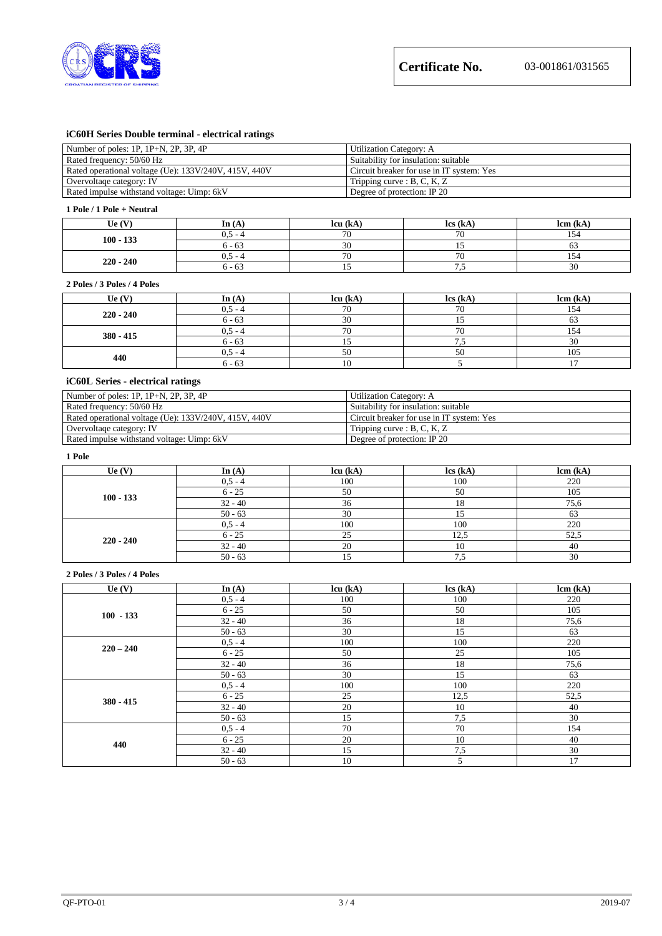

# **iC60H Series Double terminal - electrical ratings**

| Number of poles: 1P, 1P+N, 2P, 3P, 4P                 | Utilization Category: A                   |
|-------------------------------------------------------|-------------------------------------------|
| Rated frequency: 50/60 Hz                             | Suitability for insulation: suitable      |
| Rated operational voltage (Ue): 133V/240V, 415V, 440V | Circuit breaker for use in IT system: Yes |
| Overvoltage category: IV                              | Tripping curve : B, C, K, Z               |
| Rated impulse withstand voltage: Uimp: 6kV            | Degree of protection: IP 20               |

#### **1 Pole / 1 Pole + Neutral**

| $\mathbf{U}\mathbf{e}$ (V) | In $(A)$  | lcu (kA        | $\text{lcs}$ (kA)  | lcm (kA |
|----------------------------|-----------|----------------|--------------------|---------|
| $100 - 133$                | $0.5 - 4$ | 70             | 70<br>$\mathbf{v}$ | 154     |
|                            | $6 - 63$  | $\Omega$<br>3U | . .                | υJ      |
| $220 - 240$                | $0.5 - 4$ | $\overline{u}$ | $\sim$             | ر ح 1   |
|                            | 6 - 63    |                | ر…                 | 30      |

#### **2 Poles / 3 Poles / 4 Poles**

| Ue(V)       | In $(A)$  | lcu (kA) | $\text{lcs}(\text{kA})$ | lcm (kA) |
|-------------|-----------|----------|-------------------------|----------|
| $220 - 240$ | $0.5 - 4$ | 70       | 71                      | 154      |
|             | $6 - 63$  | 30       |                         |          |
|             | $0.5 - 4$ | 70       | 71                      | 154      |
| $380 - 415$ | $6 - 63$  |          |                         | 30       |
| 440         | $0.5 - 4$ | 50       | 50                      | 105      |
|             | $6 - 63$  |          |                         |          |

# **iC60L Series - electrical ratings**

| Number of poles: $1P$ , $1P+N$ , $2P$ , $3P$ , $4P$   | Utilization Category: A                   |
|-------------------------------------------------------|-------------------------------------------|
| Rated frequency: 50/60 Hz                             | Suitability for insulation: suitable      |
| Rated operational voltage (Ue): 133V/240V, 415V, 440V | Circuit breaker for use in IT system: Yes |
| Overvoltage category: IV                              | Tripping curve : $B, C, K, Z$             |
| Rated impulse withstand voltage: Uimp: 6kV            | Degree of protection: IP 20               |

#### **1 Pole**

| $\mathbf{U}\mathbf{e}\left(\mathbf{V}\right)$ | In $(A)$  | lcu (kA) | $\text{lcs}(\text{kA})$ | lcm (kA) |
|-----------------------------------------------|-----------|----------|-------------------------|----------|
| $100 - 133$                                   | $0,5 - 4$ | 100      | 100                     | 220      |
|                                               | $6 - 25$  | 50       | 50                      | 105      |
|                                               | $32 - 40$ | 36       |                         | 75.6     |
|                                               | $50 - 63$ | 30       | ⊥ ~                     | 63       |
| $220 - 240$                                   | $0.5 - 4$ | 100      | 100                     | 220      |
|                                               | $6 - 25$  | ∠~       | 12,5                    | 52.5     |
|                                               | $32 - 40$ | 20       | 10                      | 40       |
|                                               | $50 - 63$ |          | W                       | 30       |

#### **2 Poles / 3 Poles / 4 Poles**

| Ue $(V)$    | In $(A)$  | lcu (kA) | lcs (kA) | lcm (kA) |
|-------------|-----------|----------|----------|----------|
| $100 - 133$ | $0,5 - 4$ | 100      | 100      | 220      |
|             | $6 - 25$  | 50       | 50       | 105      |
|             | $32 - 40$ | 36       | 18       | 75,6     |
|             | $50 - 63$ | 30       | 15       | 63       |
| $220 - 240$ | $0,5 - 4$ | 100      | 100      | 220      |
|             | $6 - 25$  | 50       | 25       | 105      |
|             | $32 - 40$ | 36       | 18       | 75,6     |
|             | $50 - 63$ | 30       | 15       | 63       |
| $380 - 415$ | $0,5 - 4$ | 100      | 100      | 220      |
|             | $6 - 25$  | 25       | 12,5     | 52,5     |
|             | $32 - 40$ | 20       | 10       | 40       |
|             | $50 - 63$ | 15       | 7,5      | 30       |
| 440         | $0,5 - 4$ | 70       | 70       | 154      |
|             | $6 - 25$  | 20       | 10       | 40       |
|             | $32 - 40$ | 15       | 7,5      | 30       |
|             | $50 - 63$ | 10       | 5        | 17       |